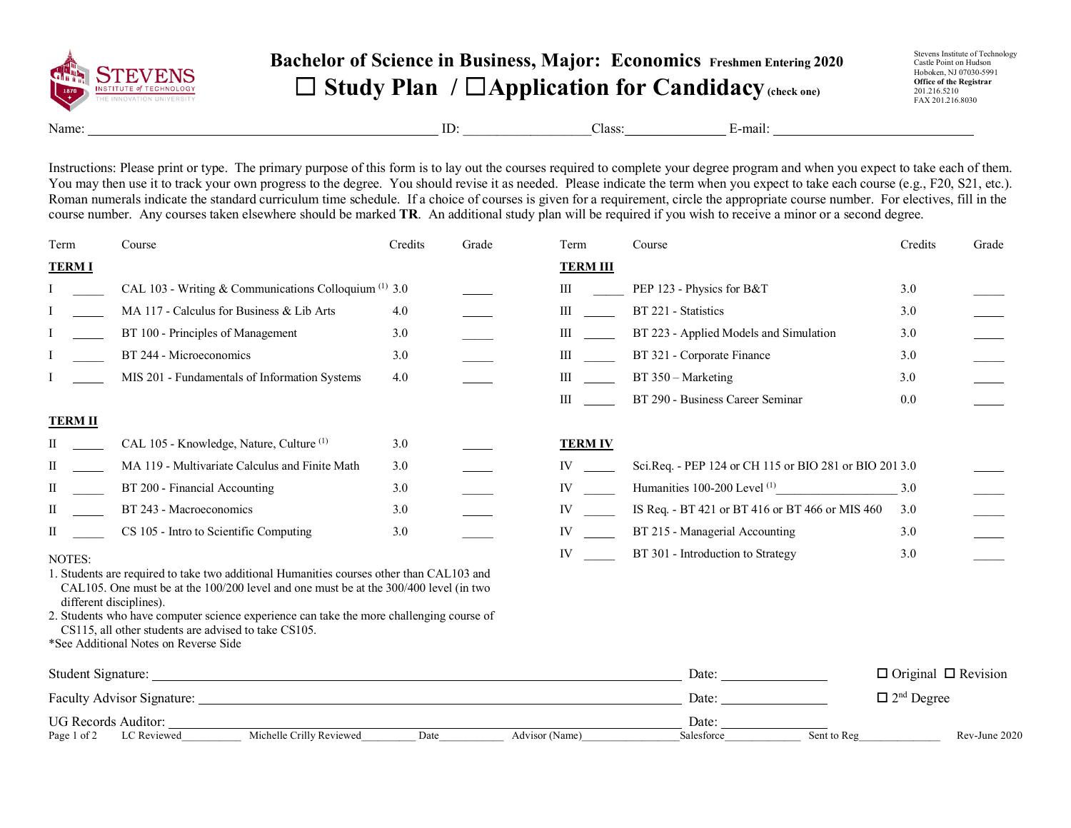

## **Bachelor of Science in Business, Major: Economics Freshmen Entering 2020** ☐ **Study Plan /** ☐**Application for Candidacy(check one)**

Stevens Institute of Technology Castle Point on Hudson Hoboken, NJ 07030-5991 **Office of the Registrar** 201.216.5210 FAX 201.216.8030

Name: E-mail: E-mail: ID: Class: E-mail:

Instructions: Please print or type. The primary purpose of this form is to lay out the courses required to complete your degree program and when you expect to take each of them. You may then use it to track your own progress to the degree. You should revise it as needed. Please indicate the term when you expect to take each course (e.g., F20, S21, etc.). Roman numerals indicate the standard curriculum time schedule. If a choice of courses is given for a requirement, circle the appropriate course number. For electives, fill in the course number. Any courses taken elsewhere should be marked **TR**. An additional study plan will be required if you wish to receive a minor or a second degree.

| Term               | Course                                                                                                                                                                            | Credits | Grade          | Term                                                                                                                                                                                                                           | Course                                                                                                                                                                                                                         | Credits                         | Grade         |
|--------------------|-----------------------------------------------------------------------------------------------------------------------------------------------------------------------------------|---------|----------------|--------------------------------------------------------------------------------------------------------------------------------------------------------------------------------------------------------------------------------|--------------------------------------------------------------------------------------------------------------------------------------------------------------------------------------------------------------------------------|---------------------------------|---------------|
| <b>TERMI</b>       |                                                                                                                                                                                   |         |                | <b>TERM III</b>                                                                                                                                                                                                                |                                                                                                                                                                                                                                |                                 |               |
|                    | CAL 103 - Writing & Communications Colloquium $(1)$ 3.0                                                                                                                           |         |                | III                                                                                                                                                                                                                            | PEP 123 - Physics for B&T                                                                                                                                                                                                      | 3.0                             |               |
|                    | MA 117 - Calculus for Business & Lib Arts                                                                                                                                         | 4.0     |                |                                                                                                                                                                                                                                | BT 221 - Statistics                                                                                                                                                                                                            | 3.0                             |               |
|                    | BT 100 - Principles of Management                                                                                                                                                 | 3.0     |                | $\mathbf{III}$                                                                                                                                                                                                                 | BT 223 - Applied Models and Simulation                                                                                                                                                                                         | 3.0                             |               |
|                    | BT 244 - Microeconomics                                                                                                                                                           | 3.0     |                | III                                                                                                                                                                                                                            | BT 321 - Corporate Finance                                                                                                                                                                                                     | 3.0                             |               |
|                    | MIS 201 - Fundamentals of Information Systems                                                                                                                                     | 4.0     |                | III                                                                                                                                                                                                                            | BT 350 - Marketing                                                                                                                                                                                                             | 3.0                             |               |
|                    |                                                                                                                                                                                   |         |                | $\mathbf{III}$                                                                                                                                                                                                                 | BT 290 - Business Career Seminar                                                                                                                                                                                               | 0.0                             |               |
| <b>TERM II</b>     |                                                                                                                                                                                   |         |                |                                                                                                                                                                                                                                |                                                                                                                                                                                                                                |                                 |               |
| П                  | CAL 105 - Knowledge, Nature, Culture <sup>(1)</sup>                                                                                                                               | 3.0     |                | <b>TERM IV</b>                                                                                                                                                                                                                 |                                                                                                                                                                                                                                |                                 |               |
| П                  | MA 119 - Multivariate Calculus and Finite Math                                                                                                                                    | 3.0     |                | IV and the set of the set of the set of the set of the set of the set of the set of the set of the set of the set of the set of the set of the set of the set of the set of the set of the set of the set of the set of the se | Sci.Req. - PEP 124 or CH 115 or BIO 281 or BIO 201 3.0                                                                                                                                                                         |                                 |               |
| П                  | BT 200 - Financial Accounting                                                                                                                                                     | 3.0     |                | IV and the set of the set of the set of the set of the set of the set of the set of the set of the set of the set of the set of the set of the set of the set of the set of the set of the set of the set of the set of the se | Humanities 100-200 Level $(1)$ 3.0                                                                                                                                                                                             |                                 |               |
| H                  | BT 243 - Macroeconomics                                                                                                                                                           | 3.0     |                | IV and the set of the set of the set of the set of the set of the set of the set of the set of the set of the set of the set of the set of the set of the set of the set of the set of the set of the set of the set of the se | IS Req. - BT 421 or BT 416 or BT 466 or MIS 460                                                                                                                                                                                | 3.0                             |               |
| П                  | CS 105 - Intro to Scientific Computing                                                                                                                                            | 3.0     |                | IV and the set of the set of the set of the set of the set of the set of the set of the set of the set of the set of the set of the set of the set of the set of the set of the set of the set of the set of the set of the se | BT 215 - Managerial Accounting                                                                                                                                                                                                 | 3.0                             |               |
| NOTES:             |                                                                                                                                                                                   |         |                | IV                                                                                                                                                                                                                             | BT 301 - Introduction to Strategy                                                                                                                                                                                              | 3.0                             |               |
|                    | 1. Students are required to take two additional Humanities courses other than CAL103 and<br>CAL105. One must be at the 100/200 level and one must be at the 300/400 level (in two |         |                |                                                                                                                                                                                                                                |                                                                                                                                                                                                                                |                                 |               |
|                    | different disciplines).                                                                                                                                                           |         |                |                                                                                                                                                                                                                                |                                                                                                                                                                                                                                |                                 |               |
|                    | 2. Students who have computer science experience can take the more challenging course of<br>CS115, all other students are advised to take CS105.                                  |         |                |                                                                                                                                                                                                                                |                                                                                                                                                                                                                                |                                 |               |
|                    | *See Additional Notes on Reverse Side                                                                                                                                             |         |                |                                                                                                                                                                                                                                |                                                                                                                                                                                                                                |                                 |               |
| Student Signature: |                                                                                                                                                                                   |         |                |                                                                                                                                                                                                                                | Date: the contract of the contract of the contract of the contract of the contract of the contract of the contract of the contract of the contract of the contract of the contract of the contract of the contract of the cont | $\Box$ Original $\Box$ Revision |               |
|                    |                                                                                                                                                                                   |         |                | Date:                                                                                                                                                                                                                          | $\Box$ 2 <sup>nd</sup> Degree                                                                                                                                                                                                  |                                 |               |
|                    | UG Records Auditor:                                                                                                                                                               |         |                |                                                                                                                                                                                                                                | Date:                                                                                                                                                                                                                          |                                 |               |
| Page 1 of 2        | Michelle Crilly Reviewed<br>LC Reviewed                                                                                                                                           | Date    | Advisor (Name) |                                                                                                                                                                                                                                | Sent to Reg<br>Salesforce                                                                                                                                                                                                      |                                 | Rev-June 2020 |